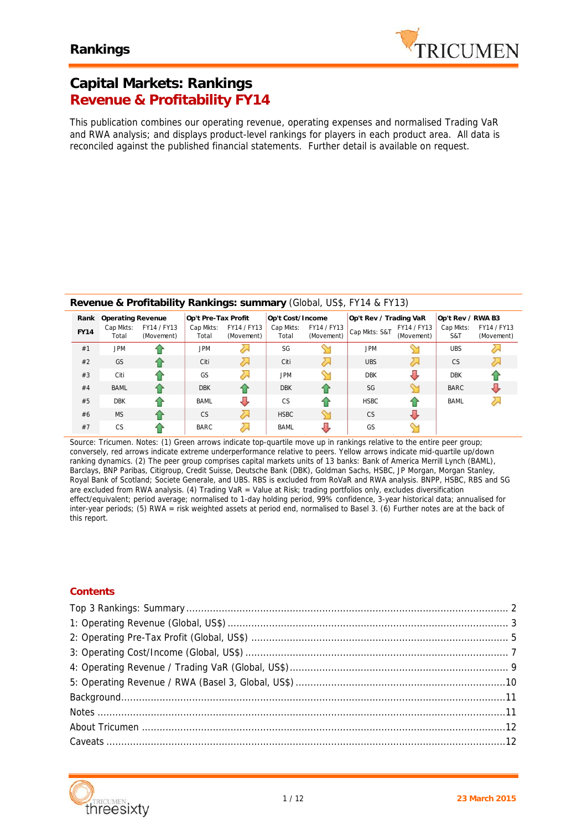

## **Capital Markets: Rankings Revenue & Profitability FY14**

*This publication combines our operating revenue, operating expenses and normalised Trading VaR and RWA analysis; and displays product-level rankings for players in each product area. All data is reconciled against the published financial statements. Further detail is available on request.*

### **Revenue & Profitability Rankings: summary** (Global, US\$, FY14 & FY13)

| Rank        | Operating Revenue  |                           | Op't Pre-Tax Profit |                           | Op't Cost/Income   |                           | Op't Rev / Trading VaR |                           | Op't Rev / RWA B3 |                           |
|-------------|--------------------|---------------------------|---------------------|---------------------------|--------------------|---------------------------|------------------------|---------------------------|-------------------|---------------------------|
| <b>FY14</b> | Cap Mkts:<br>Total | FY14 / FY13<br>(Movement) | Cap Mkts:<br>Total  | FY14 / FY13<br>(Movement) | Cap Mkts:<br>Total | FY14 / FY13<br>(Movement) | Cap Mkts: S&T          | FY14 / FY13<br>(Movement) | Cap Mkts:<br>S&T  | FY14 / FY13<br>(Movement) |
| #1          | <b>JPM</b>         |                           | <b>JPM</b>          |                           | SG                 |                           | <b>JPM</b>             |                           | <b>UBS</b>        |                           |
| #2          | GS                 | ↷                         | Citi                | $\lambda$                 | Citi               | $\lambda$                 | <b>UBS</b>             | $\sim$                    | CS                |                           |
| #3          | Citi               |                           | GS                  | ╱∼                        | <b>JPM</b>         |                           | <b>DBK</b>             |                           | <b>DBK</b>        |                           |
| #4          | <b>BAML</b>        |                           | <b>DBK</b>          |                           | <b>DBK</b>         | ↷                         | SG                     |                           | <b>BARC</b>       |                           |
| #5          | <b>DBK</b>         |                           | <b>BAML</b>         | J                         | <b>CS</b>          | ↷                         | <b>HSBC</b>            |                           | <b>BAML</b>       |                           |
| #6          | <b>MS</b>          |                           | <b>CS</b>           | $\lambda$                 | <b>HSBC</b>        |                           | <b>CS</b>              |                           |                   |                           |
| #7          | <b>CS</b>          |                           | <b>BARC</b>         | $\overline{\phantom{a}}$  | <b>BAML</b>        |                           | GS                     |                           |                   |                           |

*Source: Tricumen. Notes: (1) Green arrows indicate top-quartile move up in rankings relative to the entire peer group; conversely, red arrows indicate extreme underperformance relative to peers. Yellow arrows indicate mid-quartile up/down ranking dynamics. (2) The peer group comprises capital markets units of 13 banks: Bank of America Merrill Lynch (BAML), Barclays, BNP Paribas, Citigroup, Credit Suisse, Deutsche Bank (DBK), Goldman Sachs, HSBC, JP Morgan, Morgan Stanley, Royal Bank of Scotland; Societe Generale, and UBS. RBS is excluded from RoVaR and RWA analysis. BNPP, HSBC, RBS and SG are excluded from RWA analysis. (4) Trading VaR = Value at Risk; trading portfolios only, excludes diversification effect/equivalent; period average; normalised to 1-day holding period, 99% confidence, 3-year historical data; annualised for inter-year periods; (5) RWA = risk weighted assets at period end, normalised to Basel 3. (6) Further notes are at the back of this report.*

### **Contents**

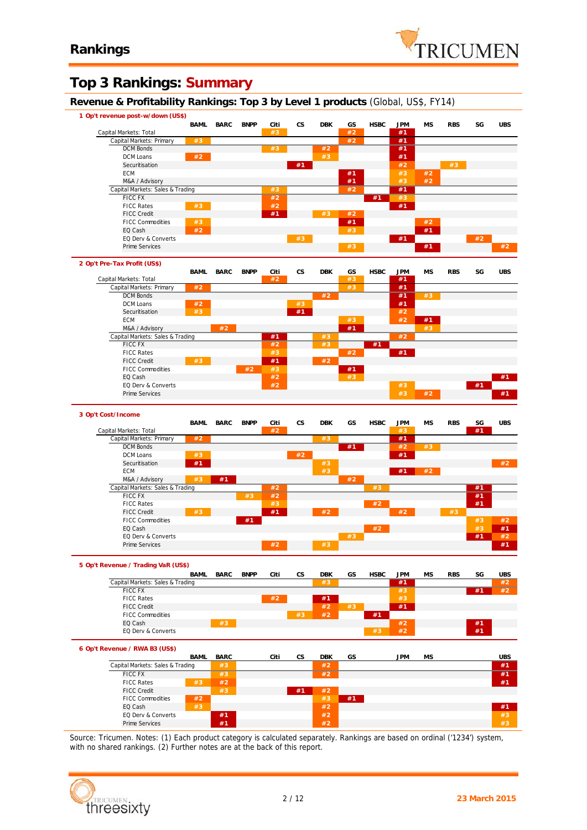

## **Top 3 Rankings: Summary**

**Revenue & Profitability Rankings: Top 3 by Level 1 products** (Global, US\$, FY14)

| Revenue & Prontability Rankings: Top 3 by Lever Fproducts (Global, US\$, FTT4) |      |             |             |      |                        |               |       |             |            |           |            |      |            |
|--------------------------------------------------------------------------------|------|-------------|-------------|------|------------------------|---------------|-------|-------------|------------|-----------|------------|------|------------|
| 1 Op't revenue post-w/down (US\$)                                              | BAML | <b>BARC</b> | <b>BNPP</b> | Citi | <b>CS</b>              | <b>DBK</b>    | GS    | <b>HSBC</b> | <b>JPM</b> | <b>MS</b> | <b>RBS</b> | SG   | <b>UBS</b> |
| Capital Markets: Total                                                         |      |             |             | #3   |                        |               | #2    |             | #1         |           |            |      |            |
| Capital Markets: Primary                                                       | #3   |             |             |      |                        |               | $\#2$ |             | #1         |           |            |      |            |
| <b>DCM Bonds</b>                                                               |      |             |             | #3   |                        | #2            |       |             | #1         |           |            |      |            |
| DCM Loans                                                                      | #2   |             |             |      |                        | #3            |       |             | #1         |           |            |      |            |
| Securitisation                                                                 |      |             |             |      | #1                     |               |       |             | #2         |           | #3         |      |            |
| ECM                                                                            |      |             |             |      |                        |               | #1    |             | $#3$       | #2        |            |      |            |
| M&A / Advisory                                                                 |      |             |             |      |                        |               | #1    |             | #3         | #2        |            |      |            |
| Capital Markets: Sales & Trading                                               |      |             |             | #3   |                        |               | #2    |             | #1         |           |            |      |            |
| <b>FICC FX</b>                                                                 |      |             |             | #2   |                        |               |       | #1          | #3         |           |            |      |            |
| <b>FICC Rates</b>                                                              | #3   |             |             | #2   |                        |               |       |             | #1         |           |            |      |            |
| <b>FICC Credit</b>                                                             |      |             |             | #1   |                        | $\#3$         | $#2$  |             |            |           |            |      |            |
| <b>FICC Commodities</b>                                                        | #3   |             |             |      |                        |               | #1    |             |            | #2        |            |      |            |
| EQ Cash                                                                        | #2   |             |             |      |                        |               | #3    |             |            | #1        |            |      |            |
| EQ Derv & Converts                                                             |      |             |             |      | #3                     |               |       |             | #1         |           |            | #2   |            |
| Prime Services                                                                 |      |             |             |      |                        |               | #3    |             |            | #1        |            |      | #2         |
| 2 Op't Pre-Tax Profit (US\$)                                                   |      |             |             |      |                        |               |       |             |            |           |            |      |            |
|                                                                                | BAML | <b>BARC</b> | <b>BNPP</b> | Citi | CS                     | <b>DBK</b>    | GS    | <b>HSBC</b> | <b>JPM</b> | <b>MS</b> | <b>RBS</b> | SG   | <b>UBS</b> |
| Capital Markets: Total                                                         |      |             |             | #2   |                        |               | #3    |             | #1         |           |            |      |            |
| Capital Markets: Primary                                                       | #2   |             |             |      |                        |               | $#3$  |             | #1         |           |            |      |            |
| <b>DCM Bonds</b>                                                               |      |             |             |      |                        | #2            |       |             | #1         | #3        |            |      |            |
| DCM Loans                                                                      | #2   |             |             |      | #3                     |               |       |             | #1         |           |            |      |            |
| Securitisation                                                                 | #3   |             |             |      | #1                     |               |       |             | #2         |           |            |      |            |
| <b>ECM</b>                                                                     |      |             |             |      |                        |               | $#3$  |             | $#2$       | #1        |            |      |            |
| M&A / Advisory                                                                 |      | #2          |             |      |                        |               | #1    |             |            | $#3$      |            |      |            |
| Capital Markets: Sales & Trading                                               |      |             |             | #1   |                        | #3            |       |             | #2         |           |            |      |            |
| <b>FICC FX</b>                                                                 |      |             |             | #2   |                        | $\frac{1}{2}$ |       | #1          |            |           |            |      |            |
| <b>FICC Rates</b>                                                              |      |             |             | $#3$ |                        |               | #2    |             | #1         |           |            |      |            |
| <b>FICC Credit</b>                                                             | #3   |             |             | #1   |                        | #2            |       |             |            |           |            |      |            |
|                                                                                |      |             |             |      |                        |               |       |             |            |           |            |      |            |
| <b>FICC Commodities</b>                                                        |      |             | #2          | #3   |                        |               | #1    |             |            |           |            |      |            |
| EQ Cash                                                                        |      |             |             | #2   |                        |               | #3    |             |            |           |            |      | #1         |
| EQ Derv & Converts                                                             |      |             |             | #2   |                        |               |       |             | #3         |           |            | #1   |            |
| Prime Services                                                                 |      |             |             |      |                        |               |       |             | #3         | #2        |            |      | #1         |
| 3 Op't Cost/Income                                                             |      |             |             |      |                        |               |       |             |            |           |            |      |            |
|                                                                                | BAML | <b>BARC</b> | <b>BNPP</b> | Citi | CS                     | <b>DBK</b>    | GS    | <b>HSBC</b> | JPM        | <b>MS</b> | <b>RBS</b> | SG   | <b>UBS</b> |
| Capital Markets: Total                                                         |      |             |             | #2   |                        |               |       |             | #3         |           |            | #1   |            |
| Capital Markets: Primary                                                       | #2   |             |             |      |                        | #3            |       |             | #1         |           |            |      |            |
| <b>DCM Bonds</b>                                                               |      |             |             |      |                        |               | #1    |             | #2         | #3        |            |      |            |
| DCM Loans                                                                      | #3   |             |             |      | #2                     |               |       |             | #1         |           |            |      |            |
| Securitisation                                                                 | #1   |             |             |      |                        | #3            |       |             |            |           |            |      | #2         |
| <b>ECM</b>                                                                     |      |             |             |      |                        | #3            |       |             | #1         | #2        |            |      |            |
| M&A / Advisory                                                                 | #3   | #1          |             |      |                        |               | #2    |             |            |           |            |      |            |
|                                                                                |      |             |             |      |                        |               |       |             |            |           |            |      |            |
| Capital Markets: Sales & Trading                                               |      |             |             | #2   |                        |               |       | #3          |            |           |            | #1   |            |
| FICC FX                                                                        |      |             | #3          | #2   |                        |               |       |             |            |           |            | #1   |            |
| <b>FICC Rates</b>                                                              |      |             |             | $#3$ |                        |               |       | #2          |            |           |            | #1   |            |
| <b>FICC Credit</b>                                                             | #3   |             |             | #1   |                        | #2            |       |             | #2         |           | #3         |      |            |
| <b>FICC Commodities</b>                                                        |      |             | #1          |      |                        |               |       |             |            |           |            | #3   | #2         |
| EQ Cash                                                                        |      |             |             |      |                        |               |       | #2          |            |           |            | $#3$ | #1         |
| EQ Derv & Converts                                                             |      |             |             |      |                        |               | #3    |             |            |           |            | #1   | #2         |
| Prime Services                                                                 |      |             |             | #2   |                        | #3            |       |             |            |           |            |      | #1         |
|                                                                                |      |             |             |      |                        |               |       |             |            |           |            |      |            |
| 5 Op't Revenue / Trading VaR (US\$)                                            |      |             |             |      |                        |               |       |             |            |           |            |      |            |
|                                                                                | BAML | <b>BARC</b> | <b>BNPP</b> | Citi | $\mathbb{C}\mathsf{S}$ | <b>DBK</b>    | GS    | <b>HSBC</b> | <b>JPM</b> | MS        | <b>RBS</b> | SG   | <b>UBS</b> |
| Capital Markets: Sales & Trading                                               |      |             |             |      |                        | #3            |       |             | #1         |           |            |      | #2         |
| <b>FICC FX</b>                                                                 |      |             |             |      |                        |               |       |             | #3         |           |            | #1   | #2         |
|                                                                                |      |             |             | #2   |                        | #1            |       |             | $#3$       |           |            |      |            |
| <b>FICC Rates</b>                                                              |      |             |             |      |                        |               |       |             | #1         |           |            |      |            |
| <b>FICC Credit</b>                                                             |      |             |             |      |                        | $#2$          | $#3$  |             |            |           |            |      |            |
| <b>FICC Commodities</b>                                                        |      |             |             |      | #3                     | #2            |       | #1          |            |           |            |      |            |
| EQ Cash                                                                        |      | #3          |             |      |                        |               |       |             | #2         |           |            | #1   |            |
| EQ Derv & Converts                                                             |      |             |             |      |                        |               |       | #3          | #2         |           |            | #1   |            |
|                                                                                |      |             |             |      |                        |               |       |             |            |           |            |      |            |
|                                                                                | BAML | <b>BARC</b> |             | Citi | CS                     | <b>DBK</b>    | GS    |             | <b>JPM</b> | <b>MS</b> |            |      |            |
| Capital Markets: Sales & Trading                                               |      | $#3$        |             |      |                        | #2            |       |             |            |           |            |      | #1         |
| <b>FICC FX</b>                                                                 |      | #3          |             |      |                        | #2            |       |             |            |           |            |      | #1         |
| <b>FICC Rates</b>                                                              | #3   | #2          |             |      |                        |               |       |             |            |           |            |      | #1         |
| <b>FICC Credit</b>                                                             |      | #3          |             |      | #1                     | #2            |       |             |            |           |            |      |            |
| <b>FICC Commodities</b>                                                        | #2   |             |             |      |                        | $#3$          | #1    |             |            |           |            |      |            |
|                                                                                |      |             |             |      |                        |               |       |             |            |           |            |      | <b>UBS</b> |
| EQ Cash                                                                        | #3   |             |             |      |                        | #2            |       |             |            |           |            |      | #1         |
| 6 Op't Revenue / RWA B3 (US\$)<br>EQ Derv & Converts<br>Prime Services         |      | #1<br>#1    |             |      |                        | #2<br>#2      |       |             |            |           |            |      | #3<br>#3   |

*Source: Tricumen. Notes: (1) Each product category is calculated separately. Rankings are based on ordinal ('1234') system, with no shared rankings. (2) Further notes are at the back of this report.*

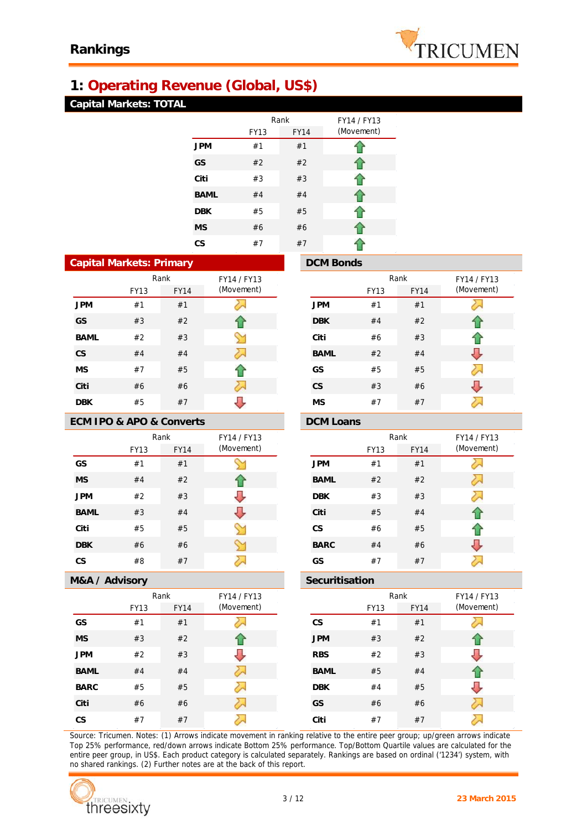

# **1: Operating Revenue (Global, US\$)**

## **Capital Markets: TOTAL**

|             |             | Rank        | FY14 / FY13 |
|-------------|-------------|-------------|-------------|
|             | <b>FY13</b> | <b>FY14</b> | (Movement)  |
| <b>JPM</b>  | #1          | #1          |             |
| GS          | #2          | #2          | ብ           |
| Citi        | #3          | #3          | ↑           |
| <b>BAML</b> | #4          | #4          | ⇑           |
| <b>DBK</b>  | #5          | #5          | ⇑           |
| <b>MS</b>   | #6          | #6          | 企           |
| CS          | #7          | #7          |             |

| <b>Capital Markets: Primary</b> |             |             |             |  |  |  |
|---------------------------------|-------------|-------------|-------------|--|--|--|
|                                 |             | Rank        | FY14 / FY13 |  |  |  |
|                                 | <b>FY13</b> | <b>FY14</b> | (Movement)  |  |  |  |
| <b>JPM</b>                      | #1          | #1          |             |  |  |  |
| GS                              | #3          | #2          | 1ř          |  |  |  |
| <b>BAML</b>                     | #2          | #3          | Y           |  |  |  |
| <b>CS</b>                       | #4          | #4          |             |  |  |  |
| <b>MS</b>                       | #7          | #5          | 17          |  |  |  |
| Citi                            | #6          | #6          |             |  |  |  |
| DBK                             | #5          | #7          |             |  |  |  |

### **ECM IPO & APO & Converts DCM Loans**

|             |             | Rank        | FY14 / FY13 |
|-------------|-------------|-------------|-------------|
|             | <b>FY13</b> | <b>FY14</b> | (Movement)  |
| GS          | #1          | #1          |             |
| <b>MS</b>   | #4          | #2          | 11          |
| <b>JPM</b>  | #2          | #3          |             |
| <b>BAML</b> | #3          | #4          |             |
| Citi        | #5          | #5          |             |
| <b>DBK</b>  | #6          | #6          |             |
| CS          | #8          | #7          | u           |

### Rank FY14 / FY13 (Movement) FY13 FY14 (Movement) **JPM** #1 #1 运 **DBK** #4 #2 € **Citi** #6 #3 ⇧ Л **BAML** #2 #4 ⋝ **GS** #5 #5 ⇩ **CS** #3 #6 **MS** #7 #7 运

**DCM Bonds** 

| FY14 / FY13 |             |      | Rank        | FY14 / FY13 |
|-------------|-------------|------|-------------|-------------|
| (Movement)  |             | FY13 | <b>FY14</b> | (Movement)  |
|             | <b>JPM</b>  | #1   | #1          |             |
|             | <b>BAML</b> | #2   | #2          |             |
|             | <b>DBK</b>  | #3   | #3          |             |
|             | Citi        | #5   | #4          |             |
|             | <b>CS</b>   | #6   | #5          |             |
|             | <b>BARC</b> | #4   | #6          |             |
|             | GS          | #7   | #7          |             |

### **M&A / Advisory Securitisation**

|             |      | Rank        | FY14 / FY13 |
|-------------|------|-------------|-------------|
|             | FY13 | <b>FY14</b> | (Movement)  |
| GS          | #1   | #1          |             |
| <b>MS</b>   | #3   | #2          |             |
| <b>JPM</b>  | #2   | #3          |             |
| <b>BAML</b> | #4   | #4          | ∕∽          |
| <b>BARC</b> | #5   | #5          |             |
| Citi        | #6   | #6          |             |
| CS          | #7   | #7          |             |

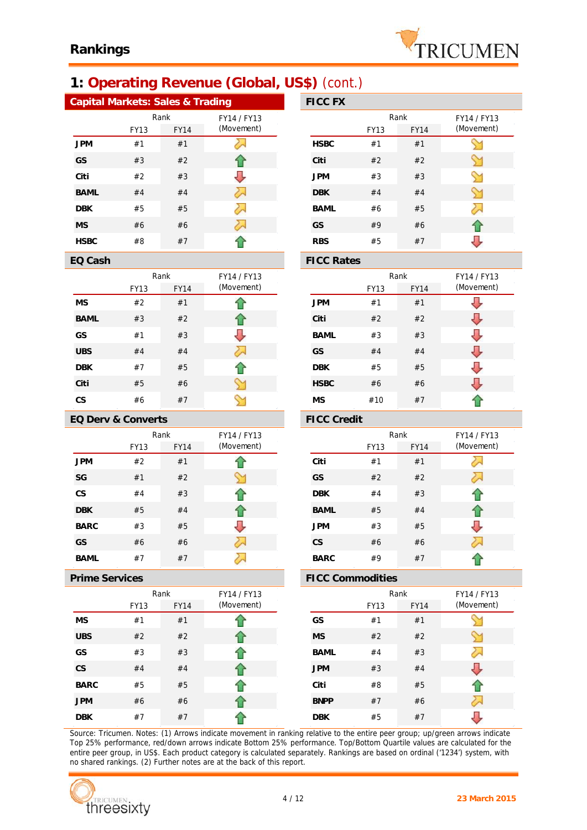

# **1: Operating Revenue (Global, US\$)** (cont.)

Rank FY14 / FY13

(Movement)

⇧ ⇑ ⇩

∾  $\gamma$ 

| Capital Markets: Sales & Trading |             |             |             | <b>FICC FX</b>    |
|----------------------------------|-------------|-------------|-------------|-------------------|
|                                  |             | Rank        | FY14 / FY13 |                   |
|                                  | <b>FY13</b> | <b>FY14</b> | (Movement)  |                   |
| <b>JPM</b>                       | #1          | #1          |             | <b>HSBC</b>       |
| GS                               | #3          | #2          |             | Citi              |
| Citi                             | #2          | #3          |             | <b>JPM</b>        |
| <b>BAML</b>                      | #4          | #4          | λλ          | <b>DBK</b>        |
| <b>DBK</b>                       | #5          | #5          |             | <b>BAML</b>       |
| <b>MS</b>                        | #6          | #6          | 2.          | GS                |
| <b>HSBC</b>                      | #8          | #7          |             | <b>RBS</b>        |
| EQ Cash                          |             |             |             | <b>FICC Rates</b> |

FY13 FY14

| FY14 / FY13 |             |      | Rank        | FY14 / FY13 |
|-------------|-------------|------|-------------|-------------|
| (Movement)  |             | FY13 | <b>FY14</b> | (Movement)  |
|             | <b>HSBC</b> | #1   | #1          |             |
| T.          | Citi        | #2   | #2          |             |
|             | <b>JPM</b>  | #3   | #3          |             |
| 2.          | <b>DBK</b>  | #4   | #4          |             |
|             | <b>BAML</b> | #6   | #5          |             |
|             | <b>GS</b>   | #9   | #6          |             |
|             | <b>RBS</b>  | #5   | #7          |             |
|             |             |      |             |             |

|             |             | Rank        | FY14 / FY13 |
|-------------|-------------|-------------|-------------|
|             | <b>FY13</b> | <b>FY14</b> | (Movement)  |
| <b>JPM</b>  | #1          | #1          |             |
| Citi        | #2          | #2          |             |
| BAML        | #3          | #3          |             |
| GS          | #4          | #4          |             |
| <b>DBK</b>  | #5          | #5          |             |
| <b>HSBC</b> | #6          | #6          |             |
| <b>MS</b>   | #10         | #7          |             |

### **EQ Derv & Converts FICC Credit**

**MS** #2 #1 **BAML** #3 #2 **GS** #1 #3 **UBS** #4 #4 **DBK** #7 #5 **Citi** #5 #6 **CS** #6 #7

|             |      | Rank        | FY14 / FY13 |
|-------------|------|-------------|-------------|
|             | FY13 | <b>FY14</b> | (Movement)  |
| <b>JPM</b>  | #2   | #1          |             |
| SG          | #1   | #2          |             |
| CS          | #4   | #3          |             |
| <b>DBK</b>  | #5   | #4          | f P         |
| <b>BARC</b> | #3   | #5          |             |
| GS          | #6   | #6          |             |
| BAML        | #7   | #7          |             |

|             |      | Rank        | FY14 / FY13 |
|-------------|------|-------------|-------------|
|             | FY13 | <b>FY14</b> | (Movement)  |
| <b>MS</b>   | #1   | #1          |             |
| <b>UBS</b>  | #2   | #2          |             |
| GS          | #3   | #3          |             |
| <b>CS</b>   | #4   | #4          |             |
| <b>BARC</b> | #5   | #5          |             |
| <b>JPM</b>  | #6   | #6          |             |
| <b>DBK</b>  | #7   | #7          |             |

| FY14 / FY13 |             |             | Rank        | FY14 / FY13 |
|-------------|-------------|-------------|-------------|-------------|
| (Movement)  |             | <b>FY13</b> | <b>FY14</b> | (Movement)  |
|             | Citi        | #1          | #1          |             |
|             | GS          | #2          | #2          |             |
|             | <b>DBK</b>  | #4          | #3          |             |
| $\bigcap$   | <b>BAML</b> | #5          | #4          |             |
|             | <b>JPM</b>  | #3          | #5          |             |
|             | <b>CS</b>   | #6          | #6          |             |
|             | <b>BARC</b> | #9          | #7          |             |

### **Prime Services FICC Commodities**

| FY14 / FY13 |             |             | Rank        | FY14 / FY13 |
|-------------|-------------|-------------|-------------|-------------|
| (Movement)  |             | <b>FY13</b> | <b>FY14</b> | (Movement)  |
|             | GS          | #1          | #1          |             |
| ⇑           | <b>MS</b>   | #2          | #2          |             |
|             | <b>BAML</b> | #4          | #3          |             |
|             | <b>JPM</b>  | #3          | #4          |             |
|             | Citi        | #8          | #5          |             |
|             | <b>BNPP</b> | #7          | #6          |             |
|             | <b>DBK</b>  | #5          | #7          |             |

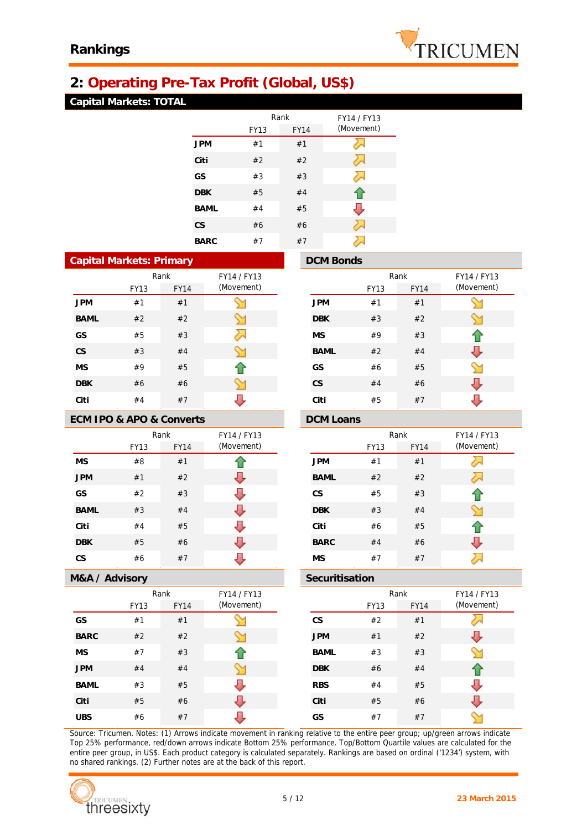

# **2: Operating Pre-Tax Profit (Global, US\$)**

## **Capital Markets: TOTAL**

|             | Rank        |             | FY14 / FY13 |
|-------------|-------------|-------------|-------------|
|             | <b>FY13</b> | <b>FY14</b> | (Movement)  |
| <b>JPM</b>  | #1          | #1          |             |
| Citi        | #2          | #2          |             |
| GS          | #3          | #3          |             |
| <b>DBK</b>  | #5          | #4          | T.          |
| <b>BAML</b> | #4          | #5          |             |
| <b>CS</b>   | #6          | #6          |             |
| <b>BARC</b> | #7          | #7          |             |

| <b>Capital Markets: Primary</b> |             |             |             |             |  |
|---------------------------------|-------------|-------------|-------------|-------------|--|
|                                 | Rank        |             |             | FY14 / FY13 |  |
|                                 |             | <b>FY13</b> | <b>FY14</b> | (Movement)  |  |
| <b>JPM</b>                      |             | #1          | #1          |             |  |
|                                 | <b>BAML</b> | #2          | #2          |             |  |
| GS                              |             | #5          | #3          |             |  |
| CS                              |             | #3          | #4          |             |  |
| <b>MS</b>                       |             | #9          | #5          |             |  |
| <b>DBK</b>                      |             | #6          | #6          |             |  |
| Citi                            |             | #4          | #7          |             |  |

### **ECM IPO & APO & Converts DCM Loans**

|             | Rank        |             | FY14 / FY13 |
|-------------|-------------|-------------|-------------|
|             | <b>FY13</b> | <b>FY14</b> | (Movement)  |
| <b>MS</b>   | #8          | #1          |             |
| <b>JPM</b>  | #1          | #2          |             |
| GS          | #2          | #3          |             |
| <b>BAML</b> | #3          | #4          |             |
| Citi        | #4          | #5          |             |
| <b>DBK</b>  | #5          | #6          |             |
| CS          | #6          | #7          |             |

### **M&A / Advisory Securitisation**

|             |      | Rank        | FY14 / FY13 |
|-------------|------|-------------|-------------|
|             | FY13 | <b>FY14</b> | (Movement)  |
| GS          | #1   | #1          |             |
| <b>BARC</b> | #2   | #2          |             |
| <b>MS</b>   | #7   | #3          |             |
| <b>JPM</b>  | #4   | #4          |             |
| BAML        | #3   | #5          |             |
| Citi        | #5   | #6          |             |
| <b>UBS</b>  | #6   | #7          |             |

|             | <b>DCM Bonds</b> |             |             |             |  |
|-------------|------------------|-------------|-------------|-------------|--|
| FY14 / FY13 |                  |             | Rank        | FY14 / FY13 |  |
| (Movement)  |                  | <b>FY13</b> | <b>FY14</b> | (Movement)  |  |
|             | <b>JPM</b>       | #1          | #1          |             |  |
|             | <b>DBK</b>       | #3          | #2          |             |  |
|             | <b>MS</b>        | #9          | #3          |             |  |
|             | <b>BAML</b>      | #2          | #4          |             |  |
| 47          | GS               | #6          | #5          |             |  |
|             | <b>CS</b>        | #4          | #6          |             |  |
|             | Citi             | #5          | #7          |             |  |

| FY14 / FY13 |             |      | Rank        | FY14 / FY13 |  |
|-------------|-------------|------|-------------|-------------|--|
| (Movement)  |             | FY13 | <b>FY14</b> | (Movement)  |  |
|             | <b>JPM</b>  | #1   | #1          |             |  |
|             | <b>BAML</b> | #2   | #2          |             |  |
|             | <b>CS</b>   | #5   | #3          |             |  |
|             | <b>DBK</b>  | #3   | #4          |             |  |
|             | Citi        | #6   | #5          |             |  |
|             | <b>BARC</b> | #4   | #6          |             |  |
|             | <b>MS</b>   | #7   | #7          |             |  |

| FY14 / FY13 |             |      | Rank        | FY14 / FY13 |  |
|-------------|-------------|------|-------------|-------------|--|
| (Movement)  |             | FY13 | <b>FY14</b> | (Movement)  |  |
|             | <b>CS</b>   | #2   | #1          |             |  |
|             | <b>JPM</b>  | #1   | #2          |             |  |
|             | <b>BAML</b> | #3   | #3          |             |  |
|             | <b>DBK</b>  | #6   | #4          |             |  |
|             | <b>RBS</b>  | #4   | #5          |             |  |
|             | Citi        | #5   | #6          |             |  |
|             | GS          | #7   | #7          |             |  |
|             |             |      |             |             |  |

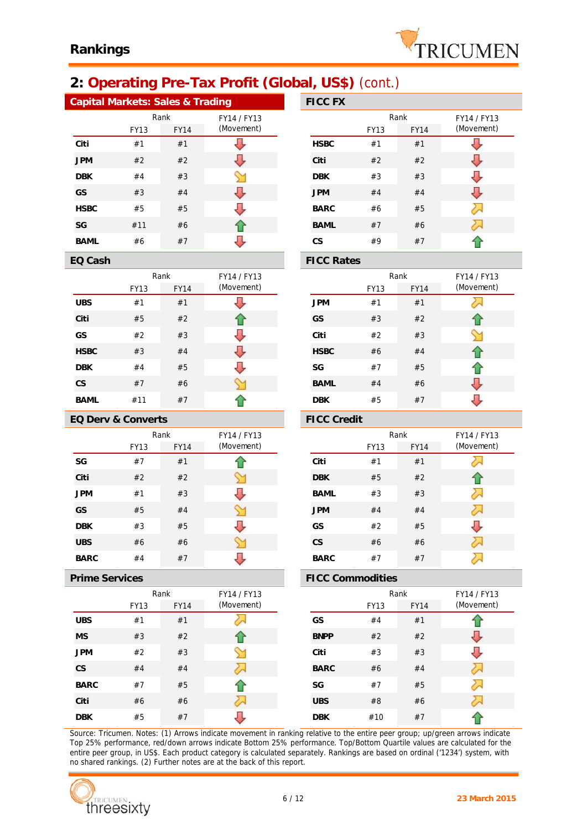

# **2: Operating Pre-Tax Profit (Global, US\$)** (cont.)

| Capital Markets: Sales & Trading |             |             |             |  | <b>FICC FX</b>    |             |
|----------------------------------|-------------|-------------|-------------|--|-------------------|-------------|
|                                  |             | Rank        | FY14 / FY13 |  |                   | R           |
|                                  | <b>FY13</b> | <b>FY14</b> | (Movement)  |  |                   | <b>FY13</b> |
| Citi                             | #1          | #1          |             |  | <b>HSBC</b>       | #1          |
| <b>JPM</b>                       | #2          | #2          |             |  | Citi              | #2          |
| <b>DBK</b>                       | #4          | #3          |             |  | <b>DBK</b>        | #3          |
| <b>GS</b>                        | #3          | #4          |             |  | <b>JPM</b>        | #4          |
| <b>HSBC</b>                      | #5          | #5          |             |  | <b>BARC</b>       | #6          |
| SG                               | #11         | #6          |             |  | <b>BAML</b>       | #7          |
| <b>BAML</b>                      | #6          | #7          |             |  | <b>CS</b>         | #9          |
| EQ Cash                          |             |             |             |  | <b>FICC Rates</b> |             |

| ப்பு        | 1 I V V I <i>I</i> V |             |             |             |
|-------------|----------------------|-------------|-------------|-------------|
| FY14 / FY13 |                      |             | Rank        | FY14 / FY13 |
| (Movement)  |                      | <b>FY13</b> | <b>FY14</b> | (Movement)  |
|             | <b>HSBC</b>          | #1          | #1          |             |
|             | Citi                 | #2          | #2          |             |
|             | <b>DBK</b>           | #3          | #3          |             |
|             | <b>JPM</b>           | #4          | #4          |             |
|             | <b>BARC</b>          | #6          | #5          |             |
|             | <b>BAML</b>          | #7          | #6          |             |
|             | <b>CS</b>            | #9          | #7          |             |
|             |                      |             |             |             |

|             |      | Rank        | FY14 / FY13 |
|-------------|------|-------------|-------------|
|             | FY13 | <b>FY14</b> | (Movement)  |
| <b>UBS</b>  | #1   | #1          |             |
| Citi        | #5   | #2          |             |
| GS          | #2   | #3          |             |
| <b>HSBC</b> | #3   | #4          |             |
| <b>DBK</b>  | #4   | #5          |             |
| <b>CS</b>   | #7   | #6          |             |
| BAML        | #11  | #7          |             |

### **EQ Derv & Converts FICC Credit**

|             |             | Rank        | FY14 / FY13 |
|-------------|-------------|-------------|-------------|
|             | <b>FY13</b> | <b>FY14</b> | (Movement)  |
| SG          | #7          | #1          |             |
| Citi        | #2          | #2          |             |
| <b>JPM</b>  | #1          | #3          |             |
| GS          | #5          | #4          |             |
| <b>DBK</b>  | #3          | #5          |             |
| <b>UBS</b>  | #6          | #6          |             |
| <b>BARC</b> | #4          | #7          |             |

|             |             | Rank        | FY14 / FY13 |
|-------------|-------------|-------------|-------------|
|             | <b>FY13</b> | <b>FY14</b> | (Movement)  |
| <b>UBS</b>  | #1          | #1          |             |
| <b>MS</b>   | #3          | #2          |             |
| <b>JPM</b>  | #2          | #3          |             |
| <b>CS</b>   | #4          | #4          |             |
| <b>BARC</b> | #7          | #5          |             |
| Citi        | #6          | #6          |             |
| <b>DBK</b>  | #5          | #7          |             |

### Rank FY14 / FY13 (Movement) (Movement) FY13 FY14 **JPM** #1 #1 运 **GS** #3 #2 **Citi** #2 #3 ⇘ **HSBC** #6 #4 **SG** #7 #5 ⇧ J **BAML** #4 #6 ⇩ **DBK** #5 #7

| FY14 / FY13 |             |             | Rank        | FY14 / FY13 |
|-------------|-------------|-------------|-------------|-------------|
| (Movement)  |             | <b>FY13</b> | <b>FY14</b> | (Movement)  |
|             | Citi        | #1          | #1          |             |
|             | <b>DBK</b>  | #5          | #2          |             |
|             | <b>BAML</b> | #3          | #3          |             |
|             | <b>JPM</b>  | #4          | #4          |             |
|             | GS          | #2          | #5          |             |
|             | <b>CS</b>   | #6          | #6          |             |
|             | <b>BARC</b> | #7          | #7          |             |

### **Prime Services FICC Commodities**

| FY14 / FY13 |             |             | Rank |             | FY14 / FY13 |  |
|-------------|-------------|-------------|------|-------------|-------------|--|
| (Movement)  |             | <b>FY13</b> |      | <b>FY14</b> | (Movement)  |  |
|             | GS          | #4          |      | #1          |             |  |
|             | <b>BNPP</b> | #2          |      | #2          |             |  |
|             | Citi        | #3          |      | #3          |             |  |
|             | <b>BARC</b> | #6          |      | #4          |             |  |
|             | SG          | #7          |      | #5          |             |  |
|             | <b>UBS</b>  | #8          |      | #6          |             |  |
|             | <b>DBK</b>  | #10         |      | #7          |             |  |
|             |             |             |      |             |             |  |

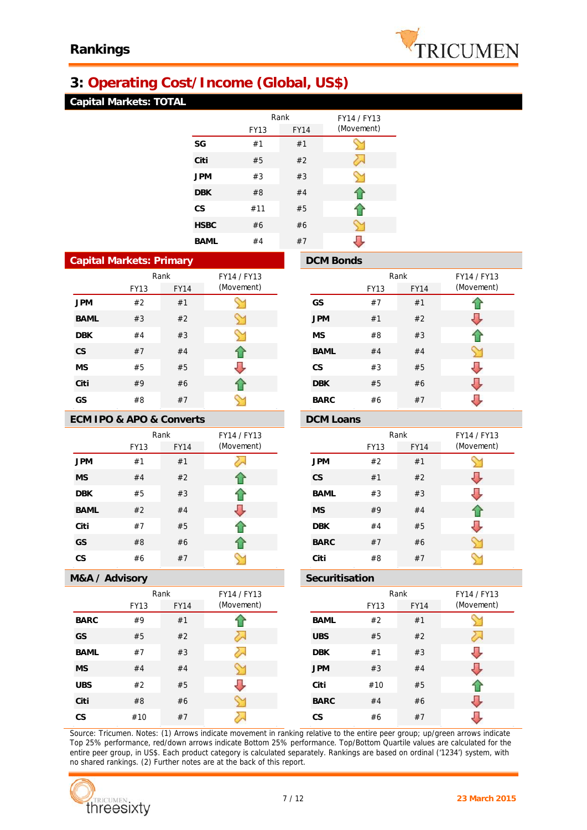# **3: Operating Cost/Income (Global, US\$)**

## **Capital Markets: TOTAL**

|             |      | Rank        | FY14 / FY13 |
|-------------|------|-------------|-------------|
|             | FY13 | <b>FY14</b> | (Movement)  |
| SG          | #1   | #1          |             |
| Citi        | #5   | #2          |             |
| <b>JPM</b>  | #3   | #3          | ∾           |
| <b>DBK</b>  | #8   | #4          | ብ           |
| CS          | #11  | #5          | ገድ          |
| <b>HSBC</b> | #6   | #6          |             |
| BAML        | #4   | #7          |             |

| Capital Markets: Primary |      |             |             |  |  |
|--------------------------|------|-------------|-------------|--|--|
|                          |      | Rank        | FY14 / FY13 |  |  |
|                          | FY13 | <b>FY14</b> | (Movement)  |  |  |
| <b>JPM</b>               | #2   | #1          |             |  |  |
| <b>BAML</b>              | #3   | #2          |             |  |  |
| <b>DBK</b>               | #4   | #3          | Y           |  |  |
| <b>CS</b>                | #7   | #4          |             |  |  |
| MS                       | #5   | #5          |             |  |  |
| Citi                     | #9   | #6          |             |  |  |
| GS                       | #8   | #7          |             |  |  |

# **ECM IPO & APO & Converts DCM Loans**

|             |      | Rank        | FY14 / FY13 |
|-------------|------|-------------|-------------|
|             | FY13 | <b>FY14</b> | (Movement)  |
| <b>JPM</b>  | #1   | #1          |             |
| <b>MS</b>   | #4   | #2          |             |
| <b>DBK</b>  | #5   | #3          |             |
| <b>BAML</b> | #2   | #4          |             |
| Citi        | #7   | #5          |             |
| GS          | #8   | #6          |             |
| CS          | #6   | #7          |             |

### **M&A / Advisory Securitisation**

|             |             | Rank        | FY14 / FY13 |
|-------------|-------------|-------------|-------------|
|             | <b>FY13</b> | <b>FY14</b> | (Movement)  |
| <b>BARC</b> | #9          | #1          |             |
| GS          | #5          | #2          |             |
| BAML        | #7          | #3          |             |
| <b>MS</b>   | #4          | #4          |             |
| <b>UBS</b>  | #2          | #5          |             |
| Citi        | #8          | #6          |             |
| CS          | #10         | #7          |             |

|             | <b>DCM Bonds</b> |             |             |             |
|-------------|------------------|-------------|-------------|-------------|
| FY14 / FY13 |                  |             | Rank        | FY14 / FY13 |
| (Movement)  |                  | <b>FY13</b> | <b>FY14</b> | (Movement)  |
|             | GS               | #7          | #1          |             |
|             | <b>JPM</b>       | #1          | #2          |             |
|             | <b>MS</b>        | #8          | #3          |             |
| $\bigcap$   | <b>BAML</b>      | #4          | #4          |             |
|             | <b>CS</b>        | #3          | #5          |             |
|             | <b>DBK</b>       | #5          | #6          |             |
|             | <b>BARC</b>      | #6          | #7          |             |

| FY14 / FY13 |             |      | Rank        | FY14 / FY13 |
|-------------|-------------|------|-------------|-------------|
| (Movement)  |             | FY13 | <b>FY14</b> | (Movement)  |
|             | <b>JPM</b>  | #2   | #1          |             |
|             | <b>CS</b>   | #1   | #2          |             |
|             | <b>BAML</b> | #3   | #3          |             |
|             | <b>MS</b>   | #9   | #4          |             |
|             | <b>DBK</b>  | #4   | #5          |             |
|             | <b>BARC</b> | #7   | #6          |             |
|             | Citi        | #8   | #7          |             |

| FY14 / FY13 |             | Rank        |             | FY14 / FY13 |
|-------------|-------------|-------------|-------------|-------------|
| (Movement)  |             | <b>FY13</b> | <b>FY14</b> | (Movement)  |
|             | <b>BAML</b> | #2          | #1          |             |
|             | <b>UBS</b>  | #5          | #2          |             |
|             | <b>DBK</b>  | #1          | #3          |             |
|             | <b>JPM</b>  | #3          | #4          |             |
|             | Citi        | #10         | #5          |             |
|             | <b>BARC</b> | #4          | #6          |             |
|             | <b>CS</b>   | #6          | #7          |             |



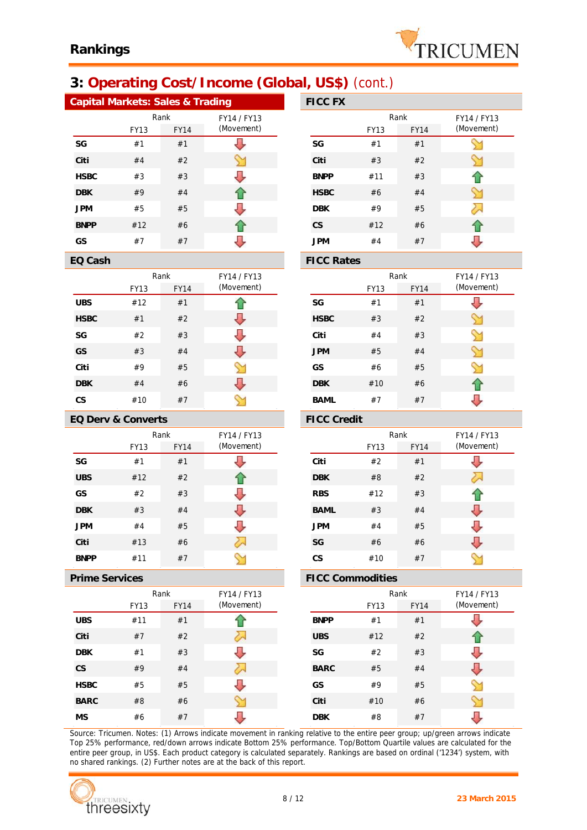

# **3: Operating Cost/Income (Global, US\$)** (cont.)

| Capital Markets: Sales & Trading |             |             |             |  | <b>FICC FX</b>    |             |
|----------------------------------|-------------|-------------|-------------|--|-------------------|-------------|
|                                  |             | Rank        | FY14 / FY13 |  |                   | R           |
|                                  | <b>FY13</b> | <b>FY14</b> | (Movement)  |  |                   | <b>FY13</b> |
| SG                               | #1          | #1          |             |  | SG                | #1          |
| Citi                             | #4          | #2          |             |  | Citi              | #3          |
| <b>HSBC</b>                      | #3          | #3          |             |  | <b>BNPP</b>       | #11         |
| <b>DBK</b>                       | #9          | #4          |             |  | <b>HSBC</b>       | #6          |
| <b>JPM</b>                       | #5          | #5          |             |  | <b>DBK</b>        | #9          |
| <b>BNPP</b>                      | #12         | #6          |             |  | <b>CS</b>         | #12         |
| GS                               | #7          | #7          |             |  | <b>JPM</b>        | #4          |
| EQ Cash                          |             |             |             |  | <b>FICC Rates</b> |             |

FY13 FY14

Rank FY14 / FY13

(Movement)

⇧ ⇩ IJ Л M

 $\gamma$ 

**UBS** #12 #1 **HSBC** #1 #2 **SG** #2 #3 **GS** #3 #4 **Citi** #9 #5 **DBK** #4 #6 **CS** #10 #7

| பழ          | ETGO EA     |             |             |             |
|-------------|-------------|-------------|-------------|-------------|
| FY14 / FY13 |             | Rank        |             | FY14 / FY13 |
| (Movement)  |             | <b>FY13</b> | <b>FY14</b> | (Movement)  |
|             | SG          | #1          | #1          |             |
|             | Citi        | #3          | #2          |             |
|             | <b>BNPP</b> | #11         | #3          |             |
| $\bigwedge$ | <b>HSBC</b> | #6          | #4          |             |
|             | <b>DBK</b>  | #9          | #5          |             |
| 41          | <b>CS</b>   | #12         | #6          |             |
|             | <b>JPM</b>  | #4          | #7          |             |

|             |             | Rank        | FY14 / FY13 |
|-------------|-------------|-------------|-------------|
|             | <b>FY13</b> | <b>FY14</b> | (Movement)  |
| SG          | #1          | #1          |             |
| <b>HSBC</b> | #3          | #2          |             |
| Citi        | #4          | #3          |             |
| <b>JPM</b>  | #5          | #4          |             |
| GS          | #6          | #5          |             |
| <b>DBK</b>  | #10         | #6          |             |
| BAML        | #7          | #7          |             |

### **EQ Derv & Converts FICC Credit**

|             | Rank |             | FY14 / FY13 |
|-------------|------|-------------|-------------|
|             | FY13 | <b>FY14</b> | (Movement)  |
| SG          | #1   | #1          |             |
| <b>UBS</b>  | #12  | #2          |             |
| GS          | #2   | #3          |             |
| <b>DBK</b>  | #3   | #4          |             |
| <b>JPM</b>  | #4   | #5          |             |
| Citi        | #13  | #6          |             |
| <b>BNPP</b> | #11  | #7          |             |

|             |      | Rank        | FY14 / FY13 |
|-------------|------|-------------|-------------|
|             | FY13 | <b>FY14</b> | (Movement)  |
| <b>UBS</b>  | #11  | #1          |             |
| Citi        | #7   | #2          |             |
| <b>DBK</b>  | #1   | #3          |             |
| <b>CS</b>   | #9   | #4          |             |
| <b>HSBC</b> | #5   | #5          |             |
| <b>BARC</b> | #8   | #6          |             |
| <b>MS</b>   | #6   | #7          |             |

| FY14 / FY13 |             |             | Rank        | FY14 / FY13 |
|-------------|-------------|-------------|-------------|-------------|
| (Movement)  |             | <b>FY13</b> | <b>FY14</b> | (Movement)  |
|             | Citi        | #2          | #1          |             |
|             | <b>DBK</b>  | #8          | #2          |             |
|             | <b>RBS</b>  | #12         | #3          |             |
|             | <b>BAML</b> | #3          | #4          |             |
|             | <b>JPM</b>  | #4          | #5          |             |
|             | SG          | #6          | #6          |             |
|             | CS          | #10         | #7          |             |

### **Prime Services FICC Commodities**

| FY14 / FY13 |             | Rank        |             | FY14 / FY13 |  |
|-------------|-------------|-------------|-------------|-------------|--|
| (Movement)  |             | <b>FY13</b> | <b>FY14</b> | (Movement)  |  |
|             | <b>BNPP</b> | #1          | #1          |             |  |
|             | <b>UBS</b>  | #12         | #2          |             |  |
|             | SG          | #2          | #3          |             |  |
|             | <b>BARC</b> | #5          | #4          |             |  |
|             | GS          | #9          | #5          |             |  |
|             | Citi        | #10         | #6          |             |  |
|             | <b>DBK</b>  | #8          | #7          |             |  |
|             |             |             |             |             |  |

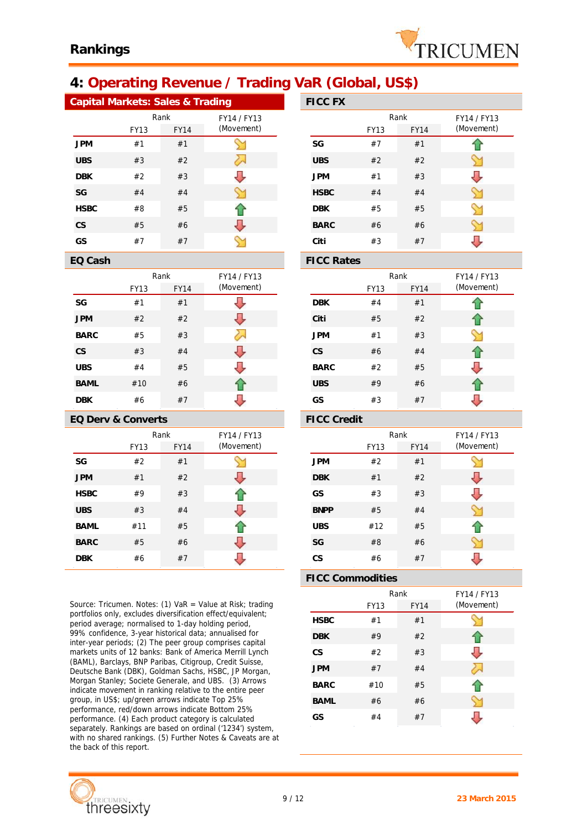

# **4: Operating Revenue / Trading VaR (Global, US\$)**

| Capital Markets: Sales & Trading |             |             |             |  | <b>FICC FX</b> |             |
|----------------------------------|-------------|-------------|-------------|--|----------------|-------------|
|                                  |             | Rank        | FY14 / FY13 |  |                | R           |
|                                  | <b>FY13</b> | <b>FY14</b> | (Movement)  |  |                | <b>FY13</b> |
| <b>JPM</b>                       | #1          | #1          |             |  | SG             | #7          |
| <b>UBS</b>                       | #3          | #2          |             |  | <b>UBS</b>     | #2          |
| <b>DBK</b>                       | #2          | #3          |             |  | <b>JPM</b>     | #1          |
| SG                               | #4          | #4          |             |  | <b>HSBC</b>    | #4          |
| <b>HSBC</b>                      | #8          | #5          |             |  | <b>DBK</b>     | #5          |
| <b>CS</b>                        | #5          | #6          |             |  | <b>BARC</b>    | #6          |
| GS                               | #7          | #7          |             |  | Citi           | #3          |

|             |             | Rank        | FY14 / FY13 |
|-------------|-------------|-------------|-------------|
|             | <b>FY13</b> | <b>FY14</b> | (Movement)  |
| SG          | #1          | #1          |             |
| <b>JPM</b>  | #2          | #2          |             |
| <b>BARC</b> | #5          | #3          |             |
| <b>CS</b>   | #3          | #4          |             |
| <b>UBS</b>  | #4          | #5          |             |
| <b>BAML</b> | #10         | #6          |             |
| DBK         | #6          | #7          |             |

### **EQ Derv & Converts FICC Credit**

|             | Rank        | FY14 / FY13 |            |
|-------------|-------------|-------------|------------|
|             | <b>FY13</b> | <b>FY14</b> | (Movement) |
| SG          | #2          | #1          |            |
| <b>JPM</b>  | #1          | #2          |            |
| <b>HSBC</b> | #9          | #3          |            |
| <b>UBS</b>  | #3          | #4          | J.         |
| <b>BAML</b> | #11         | #5          |            |
| <b>BARC</b> | #5          | #6          |            |
| <b>DBK</b>  | #6          | #7          |            |

*Source: Tricumen. Notes: (1) VaR = Value at Risk; trading portfolios only, excludes diversification effect/equivalent; period average; normalised to 1-day holding period, 99% confidence, 3-year historical data; annualised for inter-year periods; (2) The peer group comprises capital markets units of 12 banks: Bank of America Merrill Lynch (BAML), Barclays, BNP Paribas, Citigroup, Credit Suisse, Deutsche Bank (DBK), Goldman Sachs, HSBC, JP Morgan, Morgan Stanley; Societe Generale, and UBS. (3) Arrows indicate movement in ranking relative to the entire peer group, in US\$; up/green arrows indicate Top 25% performance, red/down arrows indicate Bottom 25% performance. (4) Each product category is calculated separately. Rankings are based on ordinal ('1234') system, with no shared rankings. (5) Further Notes & Caveats are at the back of this report.*



| ng          | <b>FICC FX</b>                                  |             |             |             |  |
|-------------|-------------------------------------------------|-------------|-------------|-------------|--|
| FY14 / FY13 |                                                 |             | Rank        | FY14 / FY13 |  |
| (Movement)  |                                                 | <b>FY13</b> | <b>FY14</b> | (Movement)  |  |
|             | SG                                              | #7          | #1          |             |  |
| λ           | <b>UBS</b>                                      | #2          | #2          |             |  |
|             | <b>JPM</b>                                      | #1          | #3          |             |  |
|             | <b>HSBC</b>                                     | #4          | #4          |             |  |
|             | <b>DBK</b>                                      | #5          | #5          |             |  |
| J           | <b>BARC</b>                                     | #6          | #6          |             |  |
|             | Citi                                            | #3          | #7          |             |  |
|             | $\Gamma$ $\cap$ $\cap$ $\Gamma$ $\cdot$ $\cdot$ |             |             |             |  |

### **EQ Cash FICC Rates**

| FY14 / FY13 |             | Rank        |             | FY14 / FY13 |
|-------------|-------------|-------------|-------------|-------------|
| (Movement)  |             | <b>FY13</b> | <b>FY14</b> | (Movement)  |
|             | <b>DBK</b>  | #4          | #1          |             |
|             | Citi        | #5          | #2          | 1 P         |
|             | <b>JPM</b>  | #1          | #3          |             |
|             | <b>CS</b>   | #6          | #4          |             |
|             | <b>BARC</b> | #2          | #5          |             |
|             | <b>UBS</b>  | #9          | #6          |             |
|             | GS          | #3          | #7          |             |

| FY14 / FY13 |             |             | Rank        | FY14 / FY13 |  |
|-------------|-------------|-------------|-------------|-------------|--|
| (Movement)  |             | <b>FY13</b> | <b>FY14</b> | (Movement)  |  |
|             | <b>JPM</b>  | #2          | #1          |             |  |
|             | <b>DBK</b>  | #1          | #2          |             |  |
|             | GS          | #3          | #3          |             |  |
|             | <b>BNPP</b> | #5          | #4          |             |  |
|             | <b>UBS</b>  | #12         | #5          |             |  |
|             | SG          | #8          | #6          |             |  |
|             | <b>CS</b>   | #6          | #7          |             |  |

### **FICC Commodities**

|             |             | Rank        | FY14 / FY13 |
|-------------|-------------|-------------|-------------|
|             | <b>FY13</b> | <b>FY14</b> | (Movement)  |
| <b>HSBC</b> | #1          | #1          |             |
| <b>DBK</b>  | #9          | #2          |             |
| CS          | #2          | #3          |             |
| <b>JPM</b>  | #7          | #4          |             |
| <b>BARC</b> | #10         | #5          |             |
| <b>BAML</b> | #6          | #6          |             |
| GS          | #4          | #7          |             |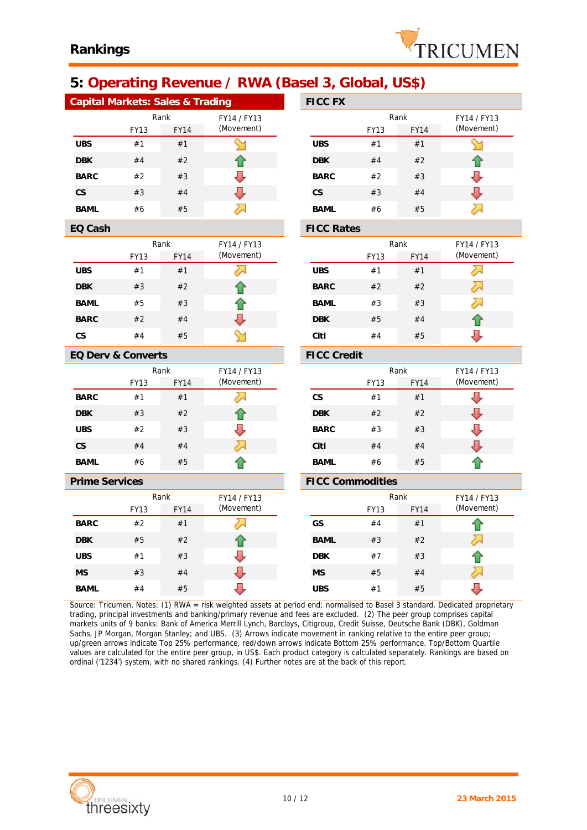

# **5: Operating Revenue / RWA (Basel 3, Global, US\$)**

| Capital Markets: Sales & Trading |             |                    |                         | <b>FICC FX</b>    |             |             |             |
|----------------------------------|-------------|--------------------|-------------------------|-------------------|-------------|-------------|-------------|
|                                  | Rank        |                    | FY14 / FY13             |                   |             | Rank        | FY14 / FY13 |
|                                  | <b>FY13</b> | FY14               | (Movement)              |                   | FY13        | <b>FY14</b> | (Movement)  |
| <b>UBS</b>                       | #1          | #1                 |                         | <b>UBS</b>        | #1          | #1          | ⇘           |
| <b>DBK</b>                       | #4          | #2                 |                         | <b>DBK</b>        | #4          | #2          | ⇧           |
| <b>BARC</b>                      | #2          | #3                 |                         | <b>BARC</b>       | #2          | #3          | J           |
| <b>CS</b>                        | #3          | #4                 | ⇩                       | <b>CS</b>         | #3          | #4          | ⇩           |
| <b>BAML</b>                      | #6          | #5                 | ↣                       | <b>BAML</b>       | #6          | #5          | 运           |
| EQ Cash                          |             |                    |                         | <b>FICC Rates</b> |             |             |             |
|                                  | Rank        |                    | FY14 / FY13             |                   |             | Rank        | FY14 / FY13 |
|                                  | <b>FY13</b> | <b>FY14</b>        | (Movement)              |                   | <b>FY13</b> | <b>FY14</b> | (Movement)  |
| <b>UBS</b>                       | #1          | #1                 | ⋋                       | <b>UBS</b>        | #1          | #1          | 运           |
| <b>DBK</b>                       | #3          | #2                 |                         | <b>BARC</b>       | #2          | #2          | ⋝           |
| <b>BAML</b>                      | #5          | #3                 |                         | <b>BAML</b>       | #3          | #3          | ヘ           |
| <b>BARC</b>                      | #2          | #4                 | U,                      | <b>DBK</b>        | #5          | #4          | ⇧           |
| <b>CS</b>                        | #4          | #5                 |                         | Citi              | #4          | #5          | ⇩           |
| EQ Derv & Converts               |             | <b>FICC Credit</b> |                         |                   |             |             |             |
|                                  | Rank        |                    | FY14 / FY13             |                   |             | Rank        | FY14 / FY13 |
|                                  | <b>FY13</b> | <b>FY14</b>        | (Movement)              |                   | <b>FY13</b> | <b>FY14</b> | (Movement)  |
| <b>BARC</b>                      | #1          | #1                 | 运                       | <b>CS</b>         | #1          | #1          | ⇩           |
| <b>DBK</b>                       | #3          | #2                 |                         | <b>DBK</b>        | #2          | #2          | ⇩           |
| <b>UBS</b>                       | #2          | #3                 |                         | <b>BARC</b>       | #3          | #3          | ⇩           |
| CS                               | #4          | #4                 | ₩                       | Citi              | #4          | #4          | U           |
| <b>BAML</b>                      | #6          | #5                 |                         | <b>BAML</b>       | #6          | #5          |             |
| <b>Prime Services</b>            |             |                    | <b>FICC Commodities</b> |                   |             |             |             |
|                                  |             | Rank               | FY14 / FY13             |                   |             | Rank        | FY14 / FY13 |
|                                  | FY13        | <b>FY14</b>        | (Movement)              |                   | FY13        | <b>FY14</b> | (Movement)  |
| <b>BARC</b>                      | #2          | #1                 | ➢                       | GS                | #4          | #1          | ⋒           |
| <b>DBK</b>                       | #5          | #2                 |                         | <b>BAML</b>       | #3          | #2          | ╱∼          |
| <b>UBS</b>                       | #1          | #3                 |                         | <b>DBK</b>        | #7          | #3          |             |
| <b>MS</b>                        | #3          | #4                 | U                       | <b>MS</b>         | #5          | #4          | ╱           |
| <b>BAML</b>                      | #4          | #5                 | J                       | <b>UBS</b>        | #1          | #5          | U           |

*Source: Tricumen. Notes: (1) RWA = risk weighted assets at period end; normalised to Basel 3 standard. Dedicated proprietary trading, principal investments and banking/primary revenue and fees are excluded. (2) The peer group comprises capital markets units of 9 banks: Bank of America Merrill Lynch, Barclays, Citigroup, Credit Suisse, Deutsche Bank (DBK), Goldman Sachs, JP Morgan, Morgan Stanley; and UBS. (3) Arrows indicate movement in ranking relative to the entire peer group; up/green arrows indicate Top 25% performance, red/down arrows indicate Bottom 25% performance. Top/Bottom Quartile values are calculated for the entire peer group, in US\$. Each product category is calculated separately. Rankings are based on ordinal ('1234') system, with no shared rankings. (4) Further notes are at the back of this report.*

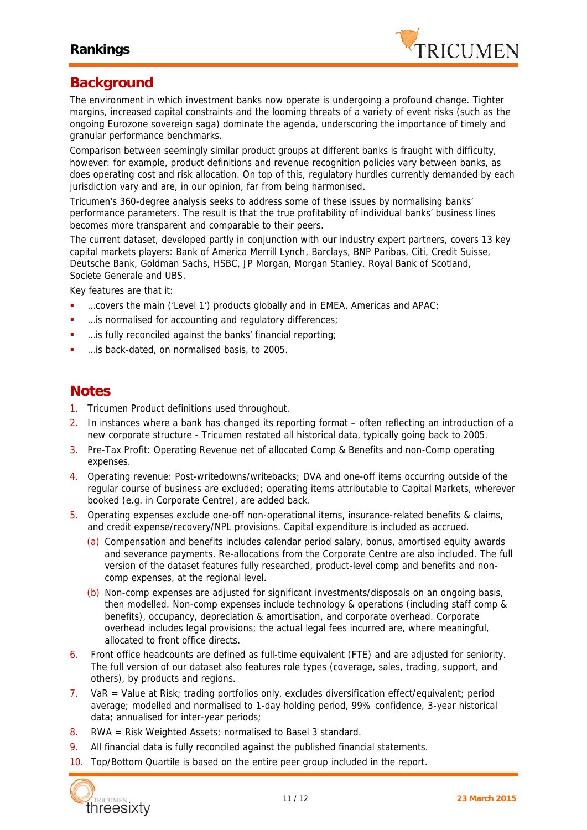

## **Background**

The environment in which investment banks now operate is undergoing a profound change. Tighter margins, increased capital constraints and the looming threats of a variety of event risks (such as the ongoing Eurozone sovereign saga) dominate the agenda, underscoring the importance of timely and granular performance benchmarks.

Comparison between seemingly similar product groups at different banks is fraught with difficulty, however: for example, product definitions and revenue recognition policies vary between banks, as does operating cost and risk allocation. On top of this, regulatory hurdles currently demanded by each jurisdiction vary and are, in our opinion, far from being harmonised.

Tricumen's 360-degree analysis seeks to address some of these issues by normalising banks' performance parameters. The result is that the true profitability of individual banks' business lines becomes more transparent and comparable to their peers.

The current dataset, developed partly in conjunction with our industry expert partners, covers 13 key capital markets players: Bank of America Merrill Lynch, Barclays, BNP Paribas, Citi, Credit Suisse, Deutsche Bank, Goldman Sachs, HSBC, JP Morgan, Morgan Stanley, Royal Bank of Scotland, Societe Generale and UBS.

Key features are that it:

- …covers the main ('Level 1') products globally and in EMEA, Americas and APAC;
- …is normalised for accounting and regulatory differences;
- …is fully reconciled against the banks' financial reporting;
- …is back-dated, on normalised basis, to 2005.

## **Notes**

- 1. Tricumen Product definitions used throughout.
- 2. In instances where a bank has changed its reporting format often reflecting an introduction of a new corporate structure - Tricumen restated all historical data, typically going back to 2005.
- 3. Pre-Tax Profit: Operating Revenue net of allocated Comp & Benefits and non-Comp operating expenses.
- 4. Operating revenue: Post-writedowns/writebacks; DVA and one-off items occurring outside of the regular course of business are excluded; operating items attributable to Capital Markets, wherever booked (e.g. in Corporate Centre), are added back.
- 5. Operating expenses exclude one-off non-operational items, insurance-related benefits & claims, and credit expense/recovery/NPL provisions. Capital expenditure is included as accrued.
	- (a) Compensation and benefits includes calendar period salary, bonus, amortised equity awards and severance payments. Re-allocations from the Corporate Centre are also included. The full version of the dataset features fully researched, product-level comp and benefits and non comp expenses, at the regional level.
	- (b) Non-comp expenses are adjusted for significant investments/disposals on an ongoing basis, then modelled. Non-comp expenses include technology & operations (including staff comp & benefits), occupancy, depreciation & amortisation, and corporate overhead. Corporate overhead includes legal provisions; the actual legal fees incurred are, where meaningful, allocated to front office directs.
- 6. Front office headcounts are defined as full-time equivalent (FTE) and are adjusted for seniority. The full version of our dataset also features role types (coverage, sales, trading, support, and others), by products and regions.
- 7. VaR = Value at Risk; trading portfolios only, excludes diversification effect/equivalent; period average; modelled and normalised to 1-day holding period, 99% confidence, 3-year historical data; annualised for inter-year periods;
- 8. RWA = Risk Weighted Assets; normalised to Basel 3 standard.
- 9. All financial data is fully reconciled against the published financial statements.
- 10. Top/Bottom Quartile is based on the entire peer group included in the report.